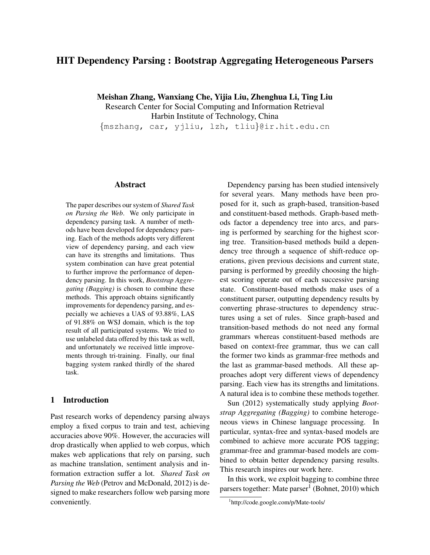# HIT Dependency Parsing : Bootstrap Aggregating Heterogeneous Parsers

Meishan Zhang, Wanxiang Che, Yijia Liu, Zhenghua Li, Ting Liu

Research Center for Social Computing and Information Retrieval Harbin Institute of Technology, China {mszhang, car, yjliu, lzh, tliu}@ir.hit.edu.cn

## Abstract

The paper describes our system of *Shared Task on Parsing the Web*. We only participate in dependency parsing task. A number of methods have been developed for dependency parsing. Each of the methods adopts very different view of dependency parsing, and each view can have its strengths and limitations. Thus system combination can have great potential to further improve the performance of dependency parsing. In this work, *Bootstrap Aggregating (Bagging)* is chosen to combine these methods. This approach obtains significantly improvements for dependency parsing, and especially we achieves a UAS of 93.88%, LAS of 91.88% on WSJ domain, which is the top result of all participated systems. We tried to use unlabeled data offered by this task as well, and unfortunately we received little improvements through tri-training. Finally, our final bagging system ranked thirdly of the shared task.

## 1 Introduction

Past research works of dependency parsing always employ a fixed corpus to train and test, achieving accuracies above 90%. However, the accuracies will drop drastically when applied to web corpus, which makes web applications that rely on parsing, such as machine translation, sentiment analysis and information extraction suffer a lot. *Shared Task on Parsing the Web* (Petrov and McDonald, 2012) is designed to make researchers follow web parsing more conveniently.

Dependency parsing has been studied intensively for several years. Many methods have been proposed for it, such as graph-based, transition-based and constituent-based methods. Graph-based methods factor a dependency tree into arcs, and parsing is performed by searching for the highest scoring tree. Transition-based methods build a dependency tree through a sequence of shift-reduce operations, given previous decisions and current state, parsing is performed by greedily choosing the highest scoring operate out of each successive parsing state. Constituent-based methods make uses of a constituent parser, outputting dependency results by converting phrase-structures to dependency structures using a set of rules. Since graph-based and transition-based methods do not need any formal grammars whereas constituent-based methods are based on context-free grammar, thus we can call the former two kinds as grammar-free methods and the last as grammar-based methods. All these approaches adopt very different views of dependency parsing. Each view has its strengths and limitations. A natural idea is to combine these methods together.

Sun (2012) systematically study applying *Bootstrap Aggregating (Bagging)* to combine heterogeneous views in Chinese language processing. In particular, syntax-free and syntax-based models are combined to achieve more accurate POS tagging; grammar-free and grammar-based models are combined to obtain better dependency parsing results. This research inspires our work here.

In this work, we exploit bagging to combine three parsers together: Mate parser<sup>1</sup> (Bohnet, 2010) which

<sup>1</sup> http://code.google.com/p/Mate-tools/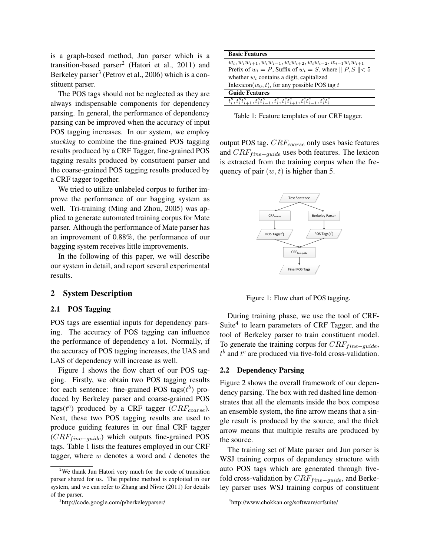is a graph-based method, Jun parser which is a transition-based parser<sup>2</sup> (Hatori et al., 2011) and Berkeley parser<sup>3</sup> (Petrov et al., 2006) which is a constituent parser.

The POS tags should not be neglected as they are always indispensable components for dependency parsing. In general, the performance of dependency parsing can be improved when the accuracy of input POS tagging increases. In our system, we employ *stacking* to combine the fine-grained POS tagging results produced by a CRF Tagger, fine-grained POS tagging results produced by constituent parser and the coarse-grained POS tagging results produced by a CRF tagger together.

We tried to utilize unlabeled corpus to further improve the performance of our bagging system as well. Tri-training (Ming and Zhou, 2005) was applied to generate automated training corpus for Mate parser. Although the performance of Mate parser has an improvement of 0.88%, the performance of our bagging system receives little improvements.

In the following of this paper, we will describe our system in detail, and report several experimental results.

## 2 System Description

#### 2.1 POS Tagging

POS tags are essential inputs for dependency parsing. The accuracy of POS tagging can influence the performance of dependency a lot. Normally, if the accuracy of POS tagging increases, the UAS and LAS of dependency will increase as well.

Figure 1 shows the flow chart of our POS tagging. Firstly, we obtain two POS tagging results for each sentence: fine-grained POS tags( $t^b$ ) produced by Berkeley parser and coarse-grained POS tags( $t^c$ ) produced by a CRF tagger ( $CRF_{coarse}$ ). Next, these two POS tagging results are used to produce guiding features in our final CRF tagger  $(CRF_{fine-guide})$  which outputs fine-grained POS tags. Table 1 lists the features employed in our CRF tagger, where  $w$  denotes a word and  $t$  denotes the

| <b>Basic Features</b>                                                                                                                                                                                                                   |
|-----------------------------------------------------------------------------------------------------------------------------------------------------------------------------------------------------------------------------------------|
| $w_i, w_i w_{i+1}, w_i w_{i-1}, w_i w_{i+2}, w_i w_{i-2}, w_{i-1} w_i w_{i+1}$                                                                                                                                                          |
| Prefix of $w_i = P$ , Suffix of $w_i = S$ , where $   P, S    < 5$                                                                                                                                                                      |
| whether $w_i$ contains a digit, capitalized                                                                                                                                                                                             |
| Inlexicon( $w_0, t$ ), for any possible POS tag t                                                                                                                                                                                       |
| <b>Guide Features</b>                                                                                                                                                                                                                   |
| $\{\overline{t_i^b}, \overline{t_i^b} \overline{t_{i+1}^b}, \overline{t_i^b} \overline{t_{i-1}^b}, \overline{t_i^c}, \overline{t_i^c} \overline{t_{i+1}^c}, \overline{t_i^c} \overline{t_{i-1}^c}, \overline{t_i^b} \overline{t_i^c}\}$ |

Table 1: Feature templates of our CRF tagger.

output POS tag.  $CRF_{coarse}$  only uses basic features and  $CRF_{fine-guide}$  uses both features. The lexicon is extracted from the training corpus when the frequency of pair  $(w, t)$  is higher than 5.



Figure 1: Flow chart of POS tagging.

During training phase, we use the tool of CRF-Suite<sup>4</sup> to learn parameters of CRF Tagger, and the tool of Berkeley parser to train constituent model. To generate the training corpus for  $CRF_{fine-guide}$ ,  $t^b$  and  $t^c$  are produced via five-fold cross-validation.

#### 2.2 Dependency Parsing

Figure 2 shows the overall framework of our dependency parsing. The box with red dashed line demonstrates that all the elements inside the box compose an ensemble system, the fine arrow means that a single result is produced by the source, and the thick arrow means that multiple results are produced by the source.

The training set of Mate parser and Jun parser is WSJ training corpus of dependency structure with auto POS tags which are generated through fivefold cross-validation by  $CRF_{fine-guide}$ , and Berkeley parser uses WSJ training corpus of constituent

<sup>&</sup>lt;sup>2</sup>We thank Jun Hatori very much for the code of transition parser shared for us. The pipeline method is exploited in our system, and we can refer to Zhang and Nivre (2011) for details of the parser.

<sup>3</sup> http://code.google.com/p/berkeleyparser/

<sup>4</sup> http://www.chokkan.org/software/crfsuite/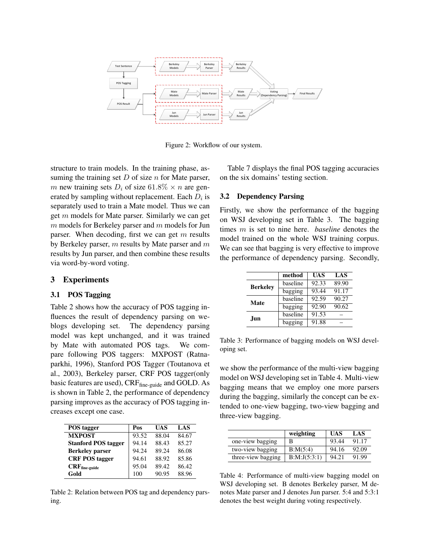

Figure 2: Workflow of our system.

structure to train models. In the training phase, assuming the training set  $D$  of size  $n$  for Mate parser, m new training sets  $D_i$  of size 61.8%  $\times$  n are generated by sampling without replacement. Each  $D_i$  is separately used to train a Mate model. Thus we can get m models for Mate parser. Similarly we can get  $m$  models for Berkeley parser and  $m$  models for Jun parser. When decoding, first we can get  $m$  results by Berkeley parser,  $m$  results by Mate parser and  $m$ results by Jun parser, and then combine these results via word-by-word voting.

### 3 Experiments

## 3.1 POS Tagging

Table 2 shows how the accuracy of POS tagging influences the result of dependency parsing on weblogs developing set. The dependency parsing model was kept unchanged, and it was trained by Mate with automated POS tags. We compare following POS taggers: MXPOST (Ratnaparkhi, 1996), Stanford POS Tagger (Toutanova et al., 2003), Berkeley parser, CRF POS tagger(only basic features are used), CRFfine-guide and GOLD. As is shown in Table 2, the performance of dependency parsing improves as the accuracy of POS tagging increases except one case.

| POS tagger                 | Pos   | UAS   | LAS   |
|----------------------------|-------|-------|-------|
| <b>MXPOST</b>              | 93.52 | 88.04 | 84.67 |
| <b>Stanford POS tagger</b> | 94.14 | 88.43 | 85.27 |
| <b>Berkeley parser</b>     | 94.24 | 89.24 | 86.08 |
| <b>CRF POS tagger</b>      | 94.61 | 88.92 | 85.86 |
| $CRF$ fine-guide           | 95.04 | 89.42 | 86.42 |
| Gold                       | 100   | 90.95 | 88.96 |

Table 2: Relation between POS tag and dependency parsing.

Table 7 displays the final POS tagging accuracies on the six domains' testing section.

### 3.2 Dependency Parsing

Firstly, we show the performance of the bagging on WSJ developing set in Table 3. The bagging times m is set to nine here. *baseline* denotes the model trained on the whole WSJ training corpus. We can see that bagging is very effective to improve the performance of dependency parsing. Secondly,

|                 | method               | <b>UAS</b> | LAS   |
|-----------------|----------------------|------------|-------|
| <b>Berkeley</b> | baseline             | 92.33      | 89.90 |
|                 | $baggin\overline{g}$ | 93.44      | 91.17 |
| <b>Mate</b>     | baseline             | 92.59      | 90.27 |
|                 | bagging              | 92.90      | 90.62 |
| Jun.            | baseline             | 91.53      |       |
|                 | bagging              | 91.88      |       |

Table 3: Performance of bagging models on WSJ developing set.

we show the performance of the multi-view bagging model on WSJ developing set in Table 4. Multi-view bagging means that we employ one more parsers during the bagging, similarly the concept can be extended to one-view bagging, two-view bagging and three-view bagging.

|                    | weighting      | UAS   | LAS   |
|--------------------|----------------|-------|-------|
| one-view bagging   | в              | 93.44 | 91.17 |
| two-view bagging   | B: M(5:4)      | 94.16 | 92.09 |
| three-view bagging | B: M: J(5:3:1) | 94.21 | 91.99 |

Table 4: Performance of multi-view bagging model on WSJ developing set. B denotes Berkeley parser, M denotes Mate parser and J denotes Jun parser. 5:4 and 5:3:1 denotes the best weight during voting respectively.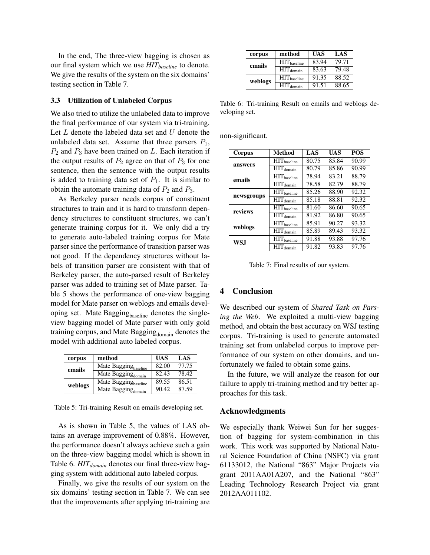In the end, The three-view bagging is chosen as our final system which we use *HITbaseline* to denote. We give the results of the system on the six domains' testing section in Table 7.

#### 3.3 Utilization of Unlabeled Corpus

We also tried to utilize the unlabeled data to improve the final performance of our system via tri-training. Let  $L$  denote the labeled data set and  $U$  denote the unlabeled data set. Assume that three parsers  $P_1$ ,  $P_2$  and  $P_3$  have been trained on L. Each iteration if the output results of  $P_2$  agree on that of  $P_3$  for one sentence, then the sentence with the output results is added to training data set of  $P_1$ . It is similar to obtain the automate training data of  $P_2$  and  $P_3$ .

As Berkeley parser needs corpus of constituent structures to train and it is hard to transform dependency structures to constituent structures, we can't generate training corpus for it. We only did a try to generate auto-labeled training corpus for Mate parser since the performance of transition parser was not good. If the dependency structures without labels of transition parser are consistent with that of Berkeley parser, the auto-parsed result of Berkeley parser was added to training set of Mate parser. Table 5 shows the performance of one-view bagging model for Mate parser on weblogs and emails developing set. Mate Bagging $_{\text{baseline}}$  denotes the singleview bagging model of Mate parser with only gold training corpus, and Mate Bagging<sub>domain</sub> denotes the model with additional auto labeled corpus.

| corpus  | method                           | <b>UAS</b> | LAS   |
|---------|----------------------------------|------------|-------|
| emails  | Mate Bagging <sub>baseline</sub> | 82.00      | 77.75 |
|         | Mate Bagging $_{\text{domain}}$  | 82.43      | 78.42 |
| weblogs | Mate Bagging <sub>baseline</sub> | 89.55      | 86.51 |
|         | Mate Bagging $_{\text{domain}}$  | 90.42      | 87.59 |

Table 5: Tri-training Result on emails developing set.

As is shown in Table 5, the values of LAS obtains an average improvement of 0.88%. However, the performance doesn't always achieve such a gain on the three-view bagging model which is shown in Table 6. *HITdomain* denotes our final three-view bagging system with additional auto labeled corpus.

Finally, we give the results of our system on the six domains' testing section in Table 7. We can see that the improvements after applying tri-training are

| corpus  | method                         | UAS   | LAS   |
|---------|--------------------------------|-------|-------|
| emails  | $\text{HIT}_{\text{baseline}}$ | 83.94 | 79.71 |
|         | $\overline{HIT}_{domain}$      | 83.63 | 79.48 |
| weblogs | $\text{HIT}_{\text{baseline}}$ | 91.35 | 88.52 |
|         | $\text{HIT}_{\text{domain}}$   | 91.51 | 88.65 |

Table 6: Tri-training Result on emails and weblogs developing set.

non-significant.

| Corpus     | <b>Method</b>              | LAS   | UAS   | <b>POS</b> |
|------------|----------------------------|-------|-------|------------|
| answers    | $HIT_{baseline}$           | 80.75 | 85.84 | 90.99      |
|            | $\overline{HIT}_{domain}$  | 80.79 | 85.86 | 90.99      |
| emails     | HIT <sub>baseline</sub>    | 78.94 | 83.21 | 88.79      |
|            | $\overline{HIT}_{domain}$  | 78.58 | 82.79 | 88.79      |
| newsgroups | $\rm{HIT}_{\rm{baseline}}$ | 85.26 | 88.90 | 92.32      |
|            | $\overline{HIT}_{domain}$  | 85.18 | 88.81 | 92.32      |
| reviews    | $HIT_{baseline}$           | 81.60 | 86.60 | 90.65      |
|            | $\overline{HIT}_{domain}$  | 81.92 | 86.80 | 90.65      |
| weblogs    | $HIT_{baseline}$           | 85.91 | 90.27 | 93.32      |
|            | $\overline{H}IT_{domain}$  | 85.89 | 89.43 | 93.32      |
| WS.I       | $HIT_{baseline}$           | 91.88 | 93.88 | 97.76      |
|            | $\overline{HIT}_{domain}$  | 91.82 | 93.83 | 97.76      |

Table 7: Final results of our system.

#### 4 Conclusion

We described our system of *Shared Task on Parsing the Web*. We exploited a multi-view bagging method, and obtain the best accuracy on WSJ testing corpus. Tri-training is used to generate automated training set from unlabeled corpus to improve performance of our system on other domains, and unfortunately we failed to obtain some gains.

In the future, we will analyze the reason for our failure to apply tri-training method and try better approaches for this task.

#### Acknowledgments

We especially thank Weiwei Sun for her suggestion of bagging for system-combination in this work. This work was supported by National Natural Science Foundation of China (NSFC) via grant 61133012, the National "863" Major Projects via grant 2011AA01A207, and the National "863" Leading Technology Research Project via grant 2012AA011102.